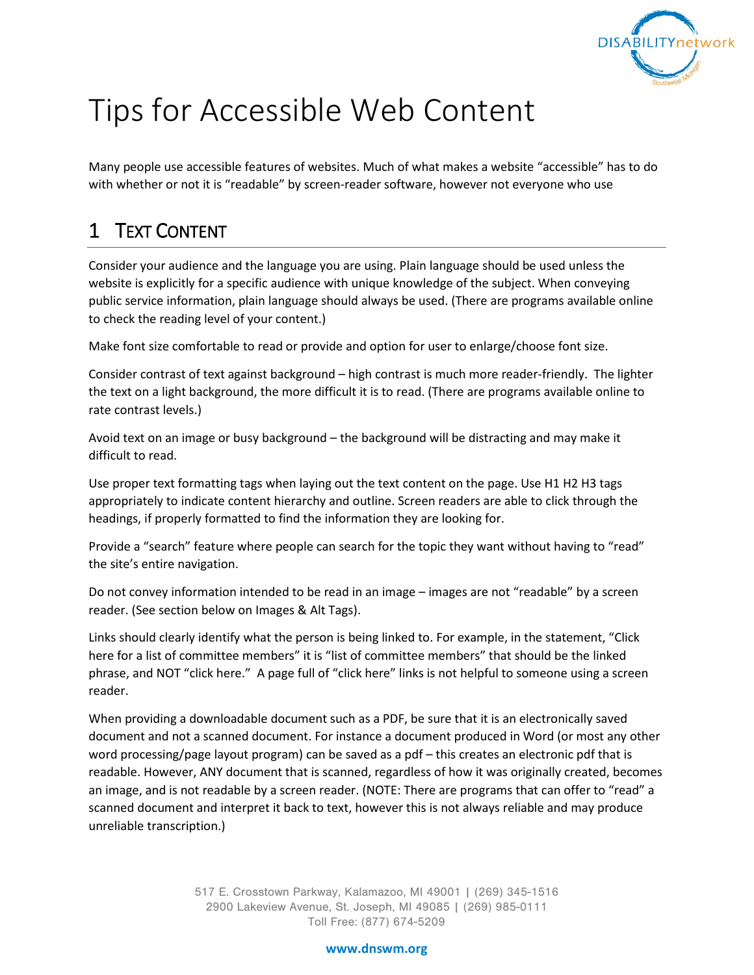

# Tips for Accessible Web Content

Many people use accessible features of websites. Much of what makes a website "accessible" has to do with whether or not it is "readable" by screen-reader software, however not everyone who use

## 1 TEXT CONTENT

Consider your audience and the language you are using. Plain language should be used unless the website is explicitly for a specific audience with unique knowledge of the subject. When conveying public service information, plain language should always be used. (There are programs available online to check the reading level of your content.)

Make font size comfortable to read or provide and option for user to enlarge/choose font size.

Consider contrast of text against background – high contrast is much more reader-friendly. The lighter the text on a light background, the more difficult it is to read. (There are programs available online to rate contrast levels.)

Avoid text on an image or busy background – the background will be distracting and may make it difficult to read.

Use proper text formatting tags when laying out the text content on the page. Use H1 H2 H3 tags appropriately to indicate content hierarchy and outline. Screen readers are able to click through the headings, if properly formatted to find the information they are looking for.

Provide a "search" feature where people can search for the topic they want without having to "read" the site's entire navigation.

Do not convey information intended to be read in an image – images are not "readable" by a screen reader. (See section below on Images & Alt Tags).

Links should clearly identify what the person is being linked to. For example, in the statement, "Click here for a list of committee members" it is "list of committee members" that should be the linked phrase, and NOT "click here." A page full of "click here" links is not helpful to someone using a screen reader.

When providing a downloadable document such as a PDF, be sure that it is an electronically saved document and not a scanned document. For instance a document produced in Word (or most any other word processing/page layout program) can be saved as a pdf – this creates an electronic pdf that is readable. However, ANY document that is scanned, regardless of how it was originally created, becomes an image, and is not readable by a screen reader. (NOTE: There are programs that can offer to "read" a scanned document and interpret it back to text, however this is not always reliable and may produce unreliable transcription.)

> 517 E. Crosstown Parkway, Kalamazoo, MI 49001 | (269) 345-1516 2900 Lakeview Avenue, St. Joseph, MI 49085 | (269) 985-0111 Toll Free: (877) 674-5209

#### **www.dnswm.org**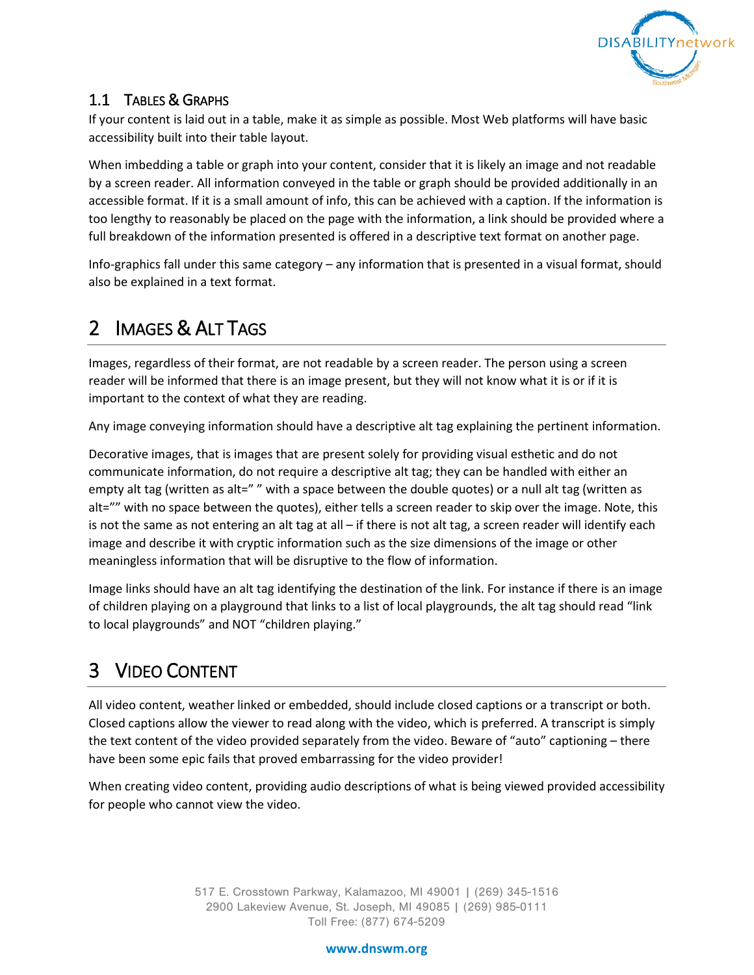

### 1.1 TABLES & GRAPHS

If your content is laid out in a table, make it as simple as possible. Most Web platforms will have basic accessibility built into their table layout.

When imbedding a table or graph into your content, consider that it is likely an image and not readable by a screen reader. All information conveyed in the table or graph should be provided additionally in an accessible format. If it is a small amount of info, this can be achieved with a caption. If the information is too lengthy to reasonably be placed on the page with the information, a link should be provided where a full breakdown of the information presented is offered in a descriptive text format on another page.

Info-graphics fall under this same category – any information that is presented in a visual format, should also be explained in a text format.

## 2 IMAGES & ALT TAGS

Images, regardless of their format, are not readable by a screen reader. The person using a screen reader will be informed that there is an image present, but they will not know what it is or if it is important to the context of what they are reading.

Any image conveying information should have a descriptive alt tag explaining the pertinent information.

Decorative images, that is images that are present solely for providing visual esthetic and do not communicate information, do not require a descriptive alt tag; they can be handled with either an empty alt tag (written as alt="" with a space between the double quotes) or a null alt tag (written as alt="" with no space between the quotes), either tells a screen reader to skip over the image. Note, this is not the same as not entering an alt tag at all – if there is not alt tag, a screen reader will identify each image and describe it with cryptic information such as the size dimensions of the image or other meaningless information that will be disruptive to the flow of information.

Image links should have an alt tag identifying the destination of the link. For instance if there is an image of children playing on a playground that links to a list of local playgrounds, the alt tag should read "link to local playgrounds" and NOT "children playing."

## 3 VIDEO CONTENT

All video content, weather linked or embedded, should include closed captions or a transcript or both. Closed captions allow the viewer to read along with the video, which is preferred. A transcript is simply the text content of the video provided separately from the video. Beware of "auto" captioning – there have been some epic fails that proved embarrassing for the video provider!

When creating video content, providing audio descriptions of what is being viewed provided accessibility for people who cannot view the video.

> 517 E. Crosstown Parkway, Kalamazoo, MI 49001 | (269) 345-1516 2900 Lakeview Avenue, St. Joseph, MI 49085 | (269) 985-0111 Toll Free: (877) 674-5209